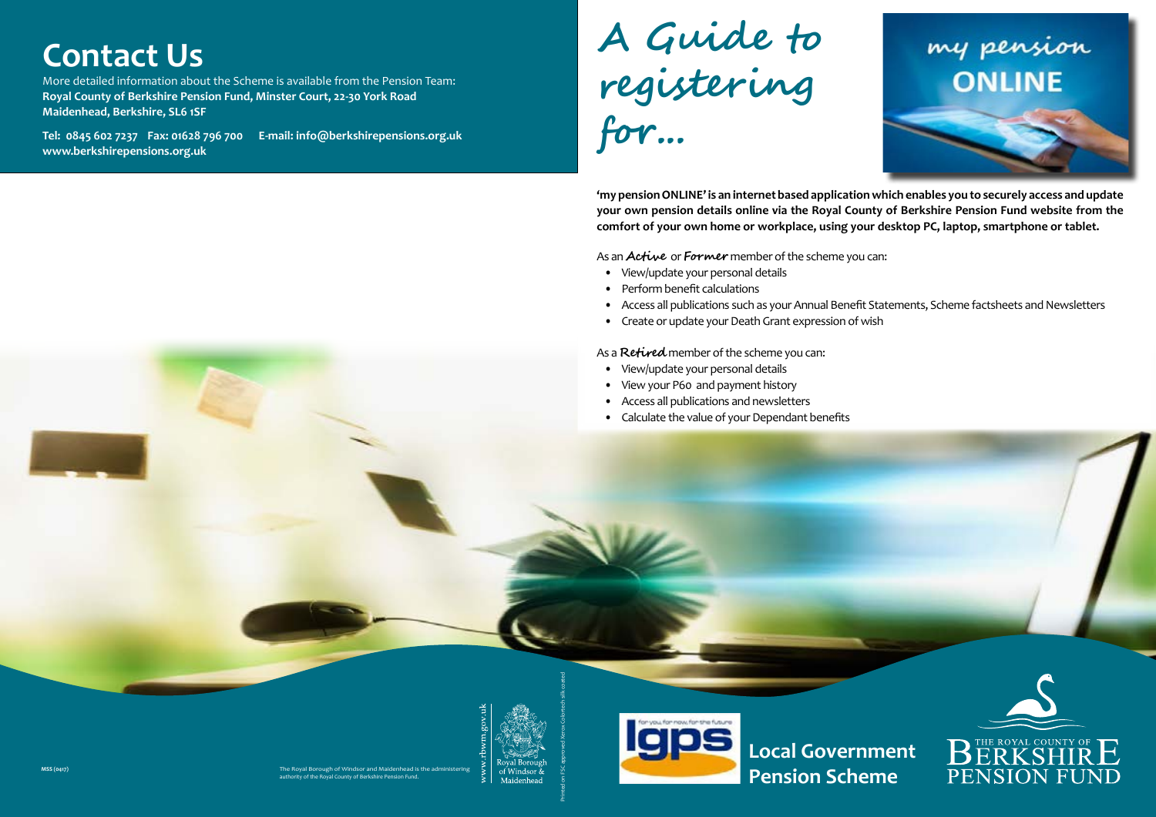**Local Government** 











## **Contact Us**

More detailed information about the Scheme is available from the Pension Team: **Royal County of Berkshire Pension Fund, Minster Court, 22-30 York Road Maidenhead, Berkshire, SL6 1SF** 

**Tel: 0845 602 7237 Fax: 01628 796 700 E-mail: info@berkshirepensions.org.uk www.berkshirepensions.org.uk**

# **A Guide to registering for...**

**'my pension ONLINE' is an internet based application which enables you to securely access and update your own pension details online via the Royal County of Berkshire Pension Fund website from the comfort of your own home or workplace, using your desktop PC, laptop, smartphone or tablet.** 

As an **Active** or **Former** member of the scheme you can:

- View/update your personal details
- Perform benefit calculations
- Access all publications such as your Annual Benefit Statements, Scheme factsheets and Newsletters
- Create or update your Death Grant expression of wish

As a **Retired** member of the scheme you can:

- View/update your personal details
- View your P60 and payment history
- Access all publications and newsletters
- Calculate the value of your Dependant benefits

The Royal Borough of Windsor and Maidenhead is the administering authority of the Royal County of Berkshire Pension Fund.